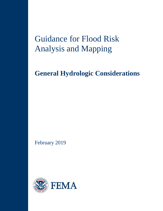# Guidance for Flood Risk Analysis and Mapping

# **General Hydrologic Considerations**

February 2019

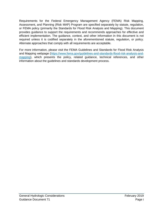Requirements for the Federal Emergency Management Agency (FEMA) Risk Mapping, Assessment, and Planning (Risk MAP) Program are specified separately by statute, regulation, or FEMA policy (primarily the Standards for Flood Risk Analysis and Mapping). This document provides guidance to support the requirements and recommends approaches for effective and efficient implementation. The guidance, context, and other information in this document is not required unless it is codified separately in the aforementioned statute, regulation, or policy. Alternate approaches that comply with all requirements are acceptable.

For more information, please visit the FEMA Guidelines and Standards for Flood Risk Analysis and Mapping webpage [\(https://www.fema.gov/guidelines-and-standards-flood-risk-analysis-and](https://www.fema.gov/guidelines-and-standards-flood-risk-analysis-and-mapping)[mapping\)](https://www.fema.gov/guidelines-and-standards-flood-risk-analysis-and-mapping), which presents the policy, related guidance, technical references, and other information about the guidelines and standards development process.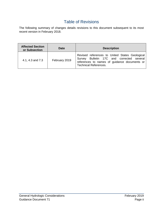## Table of Revisions

The following summary of changes details revisions to this document subsequent to its most recent version in February 2018.

| <b>Affected Section</b><br>or Subsection | <b>Date</b>   | <b>Description</b>                                                                                                                                                          |
|------------------------------------------|---------------|-----------------------------------------------------------------------------------------------------------------------------------------------------------------------------|
| 4.1, 4.3 and 7.3                         | February 2019 | Revised references to United States Geological<br>Survey Bulletin 17C and corrected several<br>references to names of guidance documents or<br><b>Technical References.</b> |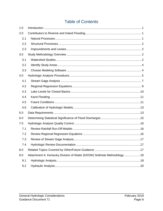# **Table of Contents**

| 1.0 |                                                                        |  |
|-----|------------------------------------------------------------------------|--|
| 2.0 |                                                                        |  |
| 2.1 |                                                                        |  |
| 2.2 |                                                                        |  |
| 2.3 |                                                                        |  |
| 3.0 |                                                                        |  |
| 3.1 |                                                                        |  |
| 3.2 |                                                                        |  |
| 3.3 |                                                                        |  |
| 4.0 |                                                                        |  |
| 4.1 |                                                                        |  |
| 4.2 |                                                                        |  |
| 4.3 |                                                                        |  |
| 4.4 |                                                                        |  |
| 4.5 |                                                                        |  |
| 4.6 |                                                                        |  |
| 5.0 |                                                                        |  |
| 6.0 |                                                                        |  |
| 7.0 |                                                                        |  |
| 7.1 |                                                                        |  |
| 7.2 |                                                                        |  |
| 7.3 |                                                                        |  |
| 7.4 | .17                                                                    |  |
| 8.0 |                                                                        |  |
| 9.0 | Attachment A: Kentucky Division of Water (KDOW) Sinkhole Methodology18 |  |
| 9.1 |                                                                        |  |
| 9.2 |                                                                        |  |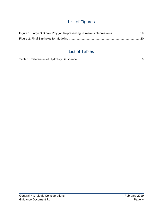# List of Figures

# List of Tables

|--|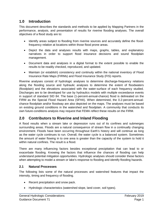## **1.0 Introduction**

This document describes the standards and methods to be applied by Mapping Partners in the performance, analysis, and presentation of results for riverine flooding analyses. The overall objectives of a flood study are to:

- Identify areas subject to flooding from riverine sources and accurately define the floodfrequency relation at locations within those flood prone areas.
- Depict the data and analyses results with maps, graphs, tables, and explanatory narratives in order to support flood insurance decisions and sound floodplain management.
- Document data and analyses in a digital format to the extent possible to enable the results to be readily checked, reproduced, and updated.
- Maintain (or establish) consistency and continuity within the national inventory of Flood Insurance Rate Maps (FIRMs) and Flood Insurance Study (FIS) reports.

Riverine analyses consist of hydrologic analyses to determine discharge-frequency relations along the flooding source and hydraulic analyses to determine the extent of floodwaters (floodplain) and the elevations associated with the water-surface of each frequency studied. Discharges are to be developed for use by hydraulics models with multiple exceedance events in support of standard SID 84. The base (1-percent-annual-chance) flood is delineated on the FIRM as the Special Flood Hazard Area (SFHA). When determined, the 0.2-percent-annualchance floodplain and/or floodway are also depicted on the maps. The analyses must be based on existing ground conditions in the watershed and floodplain. A community that conducts its own future-conditions analysis may request that FEMA reflect these results on the FIRM.

## **2.0 Contributors to Riverine and Inland Flooding**

A flood results when a stream lake or depression runs out of its confines and submerges surrounding areas. Floods are a natural consequence of stream flow in a continually changing environment. Floods have been occurring throughout Earth's history and will continue as long as the water cycle continues to run. Overall, the water cycle is a balanced system. Sometimes the amount of water flowing in to one area is greater than the capacity of the system to hold it within natural confines. The result is a flood.

There are many influencing factors besides exceptional precipitation that can lead to or exacerbate flooding. Knowing the factors that influence the chances of flooding can help understand potential mitigation opportunities. Hydrologic analyses should consider these factors when attempting to model a stream or lake's response to flooding and identify flooding hazards.

#### **2.1 Natural Processes**

The following lists some of the natural processes and watershed features that impact the intensity, timing and frequency of flooding.

- Recent precipitation and snow pack.
- Hydrologic characteristics (watershed slope, land cover, soil types).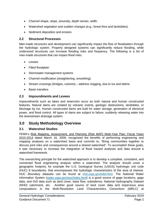- Channel shape, slope, sinuosity, depth verses. width.
- Watershed vegetation and sudden changes (e.g., forest fires and landslides).
- Sediment deposition and erosion.

#### **2.2 Structural Processes**

Man-made structures and development can significantly impact the flow of floodwaters through the hydrologic system. Properly designed systems can significantly reduce flooding, while undersized structures can increase flooding risks and frequency. The following is a list of man-made structures that can impact flood risks.

- Levees
- Filled floodplain
- Stormwater management systems
- Channel modification (straightening, smoothing)
- Stream crossings (bridges, culverts) address clogging, due to ice and debris
- Basin transfers

## **2.3 Impoundments and Levees**

Impoundments such as lakes and reservoirs occur as both natural and human constructed features. Natural dams are created by volcanic events, geologic obstructions, landslides, or blockage by ice. Human constructed dams are built for water storage, generation of electrical power, and flood control. All types of dams are subject to failure, suddenly releasing water into the downstream drainage system.

## **3.0 Study Methodology Overview**

## **3.1 Watershed Studies**

FEMA's Risk Mapping, Assessment, and Planning (Risk MAP) Multi-Year Plan: Fiscal Years 2010-2014 dated March 16, 2009, recognized the benefits of performing engineering and mapping analyses on a watershed basis and commits to, "Bring communities together to discuss joint risks and consequences around a shared watershed". To accomplish these goals, it was necessary to increase the integration of flood hazard analyses and data around a watershed framework.

The overarching principle for the watershed approach is to develop a complete, consistent, and connected flood engineering analysis within a watershed. The analysis should cover a geographic footprint, for example the U.S. Geological Survey (USGS) hydrologic unit code (HUC) 8 boundaries, that encompasses the hydrologic characteristics of the area of interest. HUC Boundary datasets can be found at [nhd.usgs.gov/wbd.html.](https://nhd.usgs.gov/wbd.html) The National Water Information System [\(water.usgs.gov/wsc/index.html\)](https://water.usgs.gov/wsc/index.html) is a good source of gage locations, gage data, and GIS data such as land cover, base flow, subsidence, National Hydrography Dataset (NHD) catchment, etc. Another good source of land cover data and impervious area computations is the Multi-Resolution Land Characteristics Consortium (MRLC) at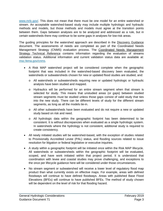[www.mrlc.gov/.](https://www.mrlc.gov/) This does not mean that there must be one model for an entire watershed or stream. An acceptable watershed-based study may include multiple hydrologic and hydraulic methods and models, but those methods and models must agree at the transition points between them. Gaps between analyses are to be analyzed and addressed as a rule, but in certain watersheds there may continue to be some gaps in analyses for low-risk areas.

The guiding principles for the watershed approach are described in the Discovery Guidance document. The assessments of needs are completed as part of the Coordinated Needs Management Strategy (CNMS) evaluation process. The Coordinated Needs Management Strategy Technical Reference contains information regarding the evaluation of streams validation status. Additional information and current validation status data are available at: [msc.fema.gov/cnms.](https://msc.fema.gov/cnms/)

- A Risk MAP watershed project will be considered complete when the geographic footprint that was included in the watershed-based discovery been evaluated, the watersheds or subwatersheds chosen for new or updated flood studies are studied, and:
	- o All watersheds or subwatersheds requiring new or updated hydrologic or hydraulic analysis have been studied and mapped.
	- o Hydraulics will be performed for an entire stream segment when that stream is selected for study. This means that unstudied areas (or gaps) between studied stream segments must be studied unless those gaps consist of valid study that ties into the new study. There can be different levels of study for the different stream segments, as long as all the models tie-in.
	- o All other subwatersheds have been evaluated and do not require a new or updated study based on risk and need.
	- o All hydrologic data within the geographic footprint has been determined to be consistent. It is without discrepancies when evaluated as a single hydrologic system. In watersheds where the hydrology is not consistent, additional study is required to create consistency.
- All newly initiated studies will be watershed-based, with the exception of studies related to Provisionally Accredited Levee (PAL) status, and flooding sources related to issue resolution for litigation or federal legislative or executive inquiries.
- A study within a geographic footprint will be initiated once within the Risk MAP lifecycle. All watersheds or subwatersheds within the geographic footprint will be evaluated, scoped, and have work initiated within that project period. It is understood that coordination with levee and coastal studies may prove challenging, and exceptions to the once per lifecycle guidance here will be considered under those circumstances.
- No stream segment or subwatershed will receive a lower level of regulatory flood map product than what currently exists on effective maps. For example, areas with defined floodways will continue to have defined floodways. Areas with published Base Flood Elevations (BFEs) will continue to have published BFEs. The method of study chosen will be dependent on the level of risk for that flooding hazard.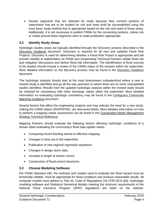• Stream segments that are selected for study because they connect portions of watersheds that are to be studied for risk and need shall be accomplished using the most basic study method that is appropriate based on the risk and need of those areas. Additionally, it is not necessary to publish FIRMs for the connecting portions, unless risk or needs around those segments were to make publication appropriate.

#### **3.2 Identify Study Areas**

Hydrologic studies areas are typically identified through the Discovery process described in the [Discovery](http://www.fema.gov/media-library-data/1406747117372-744b6bd203c18ada4806ad4e90c18b81/Discovery_Guidance_May_2014.pdf) Guidance document. Discovery is required for all new and updated Flood Risk Projects. Discovery is used for determining whether a Flood Risk Project is appropriate and will provide visibility to stakeholders as FEMA and Cooperating Technical Partners initiate flood risk and mitigation discussions and deliver flood risk information. The identification of flood sources to be studied should include a review of the CNMS status of the streams within the watershed. More detailed information on the discovery process may be found in the Discovery Guidance document.

The hydrologic analysis should start at the most downstream subwatershed where a new or revised study is identified and go all the way upstream to where there are no more new/updated studies identified. Results from the updated hydrologic analysis within the revised study should be checked for consistency with other discharge values within the watershed. More detailed information on evaluating hydrologic consistency may be found in the Contiguous Community Matching Guidance document.

Several factors that affect the engineering analysis and may indicate the need for a new study, making the CNMS status UNVERIFIED, are discussed below. More detailed information on how to perform a mapping needs assessment can be found in the Coordinated Needs Management **Strategy Technical Reference.** 

Mapping Partners should evaluate the following factors affecting hydrologic conditions of a stream when evaluating the community's flood data update needs:

- Comparing recent flooding events to effective mapping.
- Changes in land use in the watershed.
- Publication of new regional regression equations.
- Changes in design storm data.
- Increase in length of stream record.
- Construction of flood-control structures.

#### **3.3 Choose Modeling Software**

Per FEMA Standard #90, the methods and models used to evaluate the flood hazard must be technically reliable, must be appropriate for flood conditions and produce reasonable results. All computer models must adhere to Title 44, Code of Regulations (44 CFR) 65.6 a(6). Hydrologic modeling software and Statistical Numerical Models meeting the minimum requirements of the National Flood Insurance Program (NFIP) regulations are listed on the website: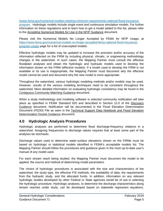[hwww.fema.gov/numerical-models-meeting-minimum-requirements-national-flood-insurance](https://www.fema.gov/numerical-models-meeting-minimum-requirements-national-flood-insurance-program)[program.](https://www.fema.gov/numerical-models-meeting-minimum-requirements-national-flood-insurance-program) Hydrologic models include single event and continuous simulation models. For further information on these regulations and to learn how to get a model added to this list, please refer to the Accepting Numerical Models for Use in the NFIP Guidance document.

Please visit the Numerical Models No Longer Accepted by FEMA for NFIP Usage, at [https://www.fema.gov/numerical-models-no-longer-accepted-fema-national-flood-insurance](https://www.fema.gov/numerical-models-no-longer-accepted-fema-national-flood-insurance-program-usage)[program-usage](https://www.fema.gov/numerical-models-no-longer-accepted-fema-national-flood-insurance-program-usage) page for a list of unaccepted models.

Effective hydrologic models may be updated to increase the precision and/or accuracy of the information reflected on the FIRM by including physical, climatic, or engineering methodology changes in the watershed. In such cases, the Mapping Partner must consult the effective floodplain analyses and obtain the hydrologic and hydraulic models used to develop the information shown on the FIRM (effective models). If a model used to develop the FIRM is not available or its use is inappropriate, the Mapping Partner must document why the effective model cannot be used and document why the new model is more appropriate.

Throughout the watershed, various hydrologic modeling methods and/or models may be used. However, results of the various modeling techniques need to be consistent throughout the watershed. More detailed information on evaluating hydrologic consistency may be found in the Contiguous Community Matching Guidance document.

When a study methodology and modeling software is selected community notification will take place as specified in FEMA Standard 620 and described in Section 12.0 of the Discovery Guidance document. Notification will be documented in the Flood Elevation Determination Document (FEDD) File as seen in the Technical Support Data Notebook and Flood Elevation Determination Docket Guidance document.

## **4.0 Hydrologic Analysis Procedures**

Hydrologic analyses are performed to determine flood discharge-frequency relations in a watershed. Assigning frequencies to discharge values requires that at least some part of the analyses be stochastic.

Discharge values used to determine water-surface elevations shown on the FIRMs must be based on hydrologic or statistical models identified in FEMA's acceptable models list. The Mapping Partner should follow the procedures and guidance given in the most up-to-date user's manual of any model used.

For each stream reach being studied, the Mapping Partner must document the model to be applied; the source and method of determining model parameters.

The choice of hydrologic procedures is associated with the size and characteristics of the watershed, the study type, the effective FIS methods, the availability of data, the requirements from the hydraulic study, and the allocated funds. In addition, information on any relevant hydrologic studies developed by other Federal or State agencies would be of use in selecting the hydrologic procedure. Hydrologic analyses, to determine the discharge characteristics along stream reaches under study, can be developed based on statewide regression equations,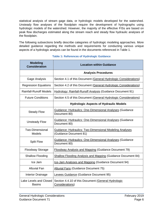statistical analysis of stream gage data, or hydrologic models developed for the watershed. Unsteady flow analyses of the floodplain require the development of hydrographs using hydrologic models of the watershed. However, the majority of the effective FISs are based on peak flow discharges estimated along the stream reach and steady flow hydraulic analyses of the floodplain.

The following subsections briefly describe categories of hydrologic modeling approaches. More detailed guidance regarding the methods and requirements for conducting various unique aspects of a hydrologic analysis can be found in the documents referenced in Table 1.

<span id="page-10-0"></span>

| <b>Modeling</b><br><b>Consideration</b> | <b>Location within Guidance</b>                                                   |
|-----------------------------------------|-----------------------------------------------------------------------------------|
|                                         | <b>Analysis Procedures</b>                                                        |
| Gage Analysis                           | Section 4.1 of this Document (General Hydrologic Considerations)                  |
| <b>Regression Equations</b>             | Section 4.2 of this Document (General Hydrologic Considerations)                  |
| <b>Rainfall-Runoff Models</b>           | Hydrology: Rainfall-Runoff Analysis (Guidance Document 91)                        |
| <b>Future Conditions</b>                | Section 4.5 of this Document (General Hydrologic Considerations)                  |
|                                         | <b>Hydrologic Aspects of Hydraulic Models</b>                                     |
| <b>Steady Flow</b>                      | <b>Guidance: Hydraulics: One-Dimensional Analyses (Guidance</b><br>Document 80)   |
| <b>Unsteady Flow</b>                    | <b>Guidance: Hydraulics: One-Dimensional Analyses (Guidance</b><br>Document 80)   |
| <b>Two-Dimensional</b><br><b>Models</b> | Guidance: Hydraulics: Two-Dimensional Modeling Analyses<br>(Guidance Document 81) |
| <b>Split Flow</b>                       | <b>Guidance: Hydraulics: One-Dimensional Analyses (Guidance</b><br>Document 80)   |
| Floodway Storage                        | <b>Floodway Analysis and Mapping (Guidance Document 79)</b>                       |
| <b>Shallow Flooding</b>                 | <b>Shallow Flooding Analysis and Mapping (Guidance Document 84)</b>               |
| Ice Jam                                 | Ice-Jam Analyses and Mapping (Guidance Document 94)                               |
| <b>Alluvial Fan</b>                     | <b>Alluvial Fans (Guidance Document 75)</b>                                       |
| Interior Drainage                       | Levees Guidance (Guidance Document 95)                                            |
| Lake Levels and Closed<br><b>Basins</b> | Section 4.4.10 of this Document (General Hydrologic<br>Considerations)            |

**Table 1: References of Hydrologic Guidance**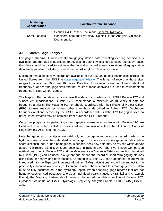| <b>Modeling</b><br><b>Consideration</b> | <b>Location within Guidance</b>                                                                                                          |
|-----------------------------------------|------------------------------------------------------------------------------------------------------------------------------------------|
| Karst Flooding                          | Section 4.4.11 of this Document (General Hydrologic<br>Considerations) and Hydrology: Rainfall-Runoff Analysis (Guidance<br>Document 91) |

#### **4.1 Stream Gage Analysis**

For gaged streams, if sufficient stream gaging station data reflecting existing conditions is available, and the data is applicable to developing peak flow discharges along the study reach, this data should be used to estimate the flood discharge-frequency relations. Gaging station data are applicable to all study types if the record length is 10 years or longer.

Maximum annual peak flow records are available for over 26,000 gaging station sites across the United States from the USGS at [water.usgs.gov/nwis/sw.](https://water.usgs.gov/nwis/sw) The length of record at those sites ranges from less than 10 to over 100 years. Data from those records are used to estimate flood frequency at or near the gage sites and the results of those analyses are used to estimate flood frequency at sites without gages.

The Mapping Partner should analyze peak flow data in accordance with USGS Bulletin 17C and subsequent modifications. Bulletin 17C recommends a minimum of 10 years of data for frequency analysis. The Mapping Partner should coordinate with their Regional Project Officer (RPO) to use analysis techniques other than those described in Bulletin 17C. Dischargefrequency relations derived by the USGS in accordance with Bulletin 17C for gaged sites on unregulated streams may be obtained from published USGS reports.

Computer programs for performing stream gage analyses in accordance with Bulletin 17C are listed in the accepted Statistical models list and are available from the U.S. Army Corps of Engineers (USACE) and the USGS.

Note that gage record analyses are valid only for homogeneous periods of record in which the hydrologic response of the watershed is unchanged. In some cases where gage records contain short, discontinuous, or non-homogeneous periods, peak flow data may be revised within and/or added to a record using techniques described in Bulletin 17C. The Two Station Comparison method described in Bulletin 17C and the Maintenance of Variance Extension method described by Hirsch (1982) can be used to augment and extend the record of short-term gaging stations using data for nearby long-term stations. As stated in Bulletin 17C this augmented record will be introduced into the Expected Moments Algorithm (EMA) calculations and will be subject to the potentially influential low floods (PILF) criteria. Such enhancements to stream gage record data must be fully documented in the hydrology report. When analyzing gage records that are not homogeneous (mixed populations, e.g., annual flood peaks caused by rainfall and snowmelt floods), the Mapping Partner should refer to the mixed population section of Bulletin 17C, *Guidance: Ice Jams*, or USACE Hydrologic Frequency Analysis EM No. 1110-2-1415 (USACE, 1993).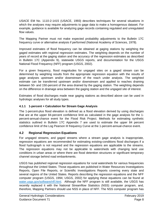USACE EM No. 1110-2-1415 (USACE, 1993) describes techniques for several situations in which the analyses may require adjustments to gage data to make a homogenous dataset. For example, guidance is available for analyzing gage records containing regulated and unregulated flow values.

The Mapping Partner must not make expected probability adjustments to the Bulletin 17C frequency curve or alternative analysis if performed (National Academy of Sciences, 1978).

Improved estimates of flood frequency can be obtained at gaging stations by weighting the gaged estimates with regional regression estimates. The weighting depends on the number of years of record at the gaging station and the accuracy of the regression estimates as described in Bulletin 17C (Appendix 9), statewide USGS reports, and documentation for the USGS National Flood Frequency (NFF) program (USGS, 2002).

For a given frequency, flood magnitudes for ungaged sites on a gaged stream can be determined by weighting results from the appropriate regression equation with the results of gage analyses upstream and/or downstream of the reach under analysis. The weighted estimate can be transferred upstream and/or downstream and applied to reaches draining between 50- and 150-percent of the area drained by the gaging station. The weighting depends on the difference in drainage area between the gaging station and the ungaged site of interest.

Estimates of flood discharges made near gaging stations as described above can be used in hydrologic analyses for all study types.

#### **4.1.1 1-percent + Calculation for Stream Gage Analysis**

The 1-percent-plus flood elevation is defined as a flood elevation derived by using discharges that are at the upper 84-percent confidence limit as calculated in the gage analysis for the 1 percent-annual-chance event for the Flood Risk Project. Methods for estimating synthetic statistics outlined in Bulletin 17C Appendix 7 are used to estimate the upper 84 percent confidence limit of the Log Pearson III frequency Curve at the 1-percent-annual-chance event.

#### **4.2 Regional Regression Equations**

For ungaged streams, and gaged streams where a stream gage analysis is inappropriate, regression equations are recommended for estimating existing-conditions flood discharges if a flood hydrograph is not required and the regression equations are applicable to the streams. The regression equations may not be applicable to watersheds with changing land use conditions in urban areas or where there are flood detention structures or significant temporary channel storage behind road embankments.

USGS has published regional regression equations for rural watersheds for various frequencies throughout the United States. Those equations are published in Water Resources Investigations Reports, Open File Reports, or Scientific Investigations Reports covering every state and several regions of the United States. Reports describing the regression equations and the NFF computer program (USGS, 1994; USGS, 2002) for applying these equations can be found at [water.usgs.gov/software/nff.html.](https://water.usgs.gov/software/nff.html) Although the NFF program is still available, the USGS has recently replaced it with the National Streamflow Statistics (NSS) computer program, and, therefore, Mapping Partners should use NSS in place of NFF. The NSS computer program has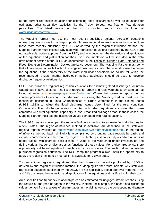all the current regression equations for estimating flood discharges as well as equations for estimating other streamflow statistics like the 7-day, 10-year low flow or flow duration percentiles. The latest version of the NSS computer program can be found at [water.usgs.gov/software/NSS.](https://water.usgs.gov/software/NSS)

The Mapping Partner must use the most recently published regional regression equations unless they are shown to be inappropriate. To use regional regression equations other than those most recently published by USGS or derived by the region-of-influence method, the Mapping Partner must indicate why statewide regression equations published by the USGS are not applicable; obtain approval from the RPO, and fully document the derivation and application of the equations and justification for their use. Documentation will be included in the data development section of the TSDN as documented in the Technical Support Data Notebook and Flood Elevation Determination Docket Guidance document. The Mapping Partner must verify that all parameter values fall within the range of basin and climatic characteristics used to derive the equations. If the parameters of the watershed under consideration do not fall within the recommended ranges, another hydrologic method applicable should be used to develop discharge frequency relationships.

USGS has published regional regression equations for estimating flood discharges for urban watersheds in several states. The list of reports for urban and rural watersheds by state can be found at [water.usgs.gov/osw/programs/nss/pubs.html.](https://water.usgs.gov/osw/programs/nss/pubs.html) Where the statewide reports do not contain procedures to account for urbanized conditions, the Mapping Partner must use the techniques described in Flood Characteristics of Urban Watersheds in the United States (USGS, 1983) to adjust the flood discharge values determined for the rural condition. Occasionally, flood discharge values computed with urban equations are lower than those computed with rural equations, especially in less- urbanized drainage areas. In those cases, the Mapping Partner must use the discharge values computed with rural equations.

The USGS has also developed the region-of-influence method to estimate flood discharges for a few States. The region-of-influence method, if available, are described in the statewide regional reports available at https://water.usgs.gov/osw/programs/nss/pubs.html. In the regionof-influence method, basin similarity is accomplished by grouping gage records by basin and climatic characteristics rather than by region. The technique is to identify a certain number of gaged basins with characteristics closest in value to the watershed under investigation and define various frequency discharges as functions of those values. For a given frequency, there is potentially a different equation for each reach in a study area. This method does not involve published regression equations. The NSS computer program allows users the opportunity to apply the region-of-influence method if it is available for a given state.

To use regional regression equations other than those most recently published by USGS or derived by the region-of-influence method, the Mapping Partner must indicate why statewide regression equations published by the USGS are not applicable, obtain approval from the RPO, and fully document the derivation and application of the equations and justification for their use.

Area-specific flood frequency relationships can be estimated for ungaged stream reaches using the results of analyses of gages in the vicinity. Plotting, for example, the base flood discharge values derived from analyses of stream gages in the vicinity versus the corresponding drainage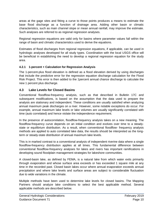areas at the gage sites and fitting a curve to those points produces a means to estimate the base flood discharge as a function of drainage area. Adding other basin or climatic characteristics, such as main channel slope or mean annual rainfall, may improve the estimate. Such analyses are referred to as regional regression analyses.

Regional regression equations are valid only for basins where parameter values fall within the range of basin and climatic characteristics used to derive the equations.

Estimates of flood discharges from regional regression equations, if applicable, can be used in hydrologic analyses developed for all study types. Coordination with the local USGS office will be beneficial in establishing the need to develop a regional regression equation for the study area.

#### **4.2.1 1-percent + Calculation for Regression Analysis**

The 1-percent-plus flood elevation is defined as a flood elevation derived by using discharges that include the predictive error for the regression equation discharge calculation for the Flood Risk Project. This error is then added to the 1percent annual chance discharge to calculate the new 1 percent plus discharge.

#### **4.3 Lake Levels for Closed Basins**

Conventional floodflow-frequency analysis, such as that described in Bulletin 17C and subsequent modifications, is based on the assumption that the data used to prepare the analysis are stationary and independent. These conditions are usually satisfied when analyzing annual maximum peak discharges on a river. However, some notable exceptions do occur. For example, annual maximum lake levels or lake volumes are usually significantly correlated with time (auto correlated) and hence violate the independence requirement.

In the presence of autocorrelation, floodflow-frequency analysis takes on a new meaning. The floodflow-frequency curve depends on an initial condition and evolves over time to a steadystate or equilibrium distribution. As a result, when conventional floodflow- frequency analysis methods are applied to auto correlated lake data, the results should be interpreted as the longterm or steady-state distribution of annual maximum lake levels.

This is in marked contrast to a conventional analysis of independent riverine data where a single floodflow-frequency distribution applies at all times. This fundamental difference between conventional floodflow-frequency analyses for lakes and rivers has important ramifications in developing sound floodplain management strategies for lakeshore communities.

A closed-basin lake, as defined by FEMA, is a natural lake from which water exits primarily through evaporation and whose surface area exceeds or has exceeded 1 square mile at any time in the recorded past. Closed basin lakes occur where annual evaporation exceeds annual precipitation and where lake levels and surface areas are subject to considerable fluctuation due to wide variations in the climate.

Multiple methods have been used to determine lake levels for closed basins. The Mapping Partners should analyze lake conditions to select the best applicable method. Several applicable methods are described below.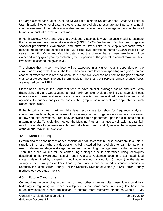For large closed-basin lakes, such as Devils Lake in North Dakota and the Great Salt Lake in Utah, historical water level data and other data are available to estimate the 1-percent- annualchance lake level. If the data are available, autoregressive moving average models can be used to model annual lake levels and volumes.

In North Dakota, Wiche and Vecchia developed a stochastic water balance model to estimate the 1-percent-annual-chance lake elevation (USGS, 1995). Wiche and Vecchia used long-term seasonal precipitation, evaporation, and inflow to Devils Lake to develop a stochastic water balance model for generating possible future lake-level elevations, namely 10,000 traces of 50 years in length. Wiche and Vecchia determined the chance that a given lake level will be exceeded in any given year by evaluating the proportion of the generated annual maximum lake levels that exceeded the given level.

The chance that a given lake level will be exceeded in any given year is dependent on the current or existing water level in the lake. The equilibrium level corresponding to a given percent chance of exceedance is reached when the current lake level has no effect on the given percent chance of exceedance. The equilibrium levels for the 1- and 0.2-percent- annual-chance floods are mapped on the FIRM.

Closed-basin lakes in the Southeast tend to have smaller drainage basins and size. With distinguished dry and wet seasons, annual maximum lake levels are unlikely to have significant autocorrelation. Lake level records are usually collected and maintained by regional and local agencies. Frequency analysis methods, either graphic or numerical, are applicable to such closed-basin lakes.

If the historical annual maximum lake level records are too short for frequency analyses, continuous simulation by a rainfall-runoff model may be used to generate a synthetic time series of flow and lake elevations. Frequency analyses can be performed upon the simulated annual maximum levels. To apply this method, the Mapping Partner must use a well-calibrated rainfallrunoff model able to generate reliable peak lake levels, and carefully assess the independency of the annual maximum lake level.

#### **4.4 Karst Flooding**

Determining the flood hazard of depressions and sinkholes within Karst topography is a unique situation. In an area where a depression is being studied best available terrain information is used to determine stage – storage curves and contributing drainage area for the depression. Then, the runoff volume for the contributing drainage area is determined using techniques described in the Hydrology: Rainfall-Runoff Analyses Guidance document. Estimated flood stage is determined by comparing runoff volume minus any outflow (if known) to the stagestorage curve. Examples of karst flooding calculations can be found in various counties in Kentucky including Barren County. For the Kentucky Division of Water (KDOW) Barren County methodology see Attachment A.

## **4.5 Future Conditions**

Communities experiencing urban growth and other changes often use future-conditions hydrology in regulating watershed development. While some communities regulate based on future development, others are hesitant to enforce more restrictive standards without FEMA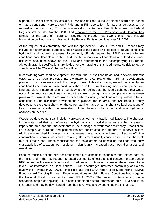support. To assist community officials, FEMA has decided to include flood hazard data based on future-conditions hydrology on FIRMs and in FIS reports for informational purposes at the request of the community. This decision was documented in a Final Rule as seen in Federal Register Volume 66, Number 228 titled Changes to General Provisions and Communities Eligible for the Sale of Insurance Required to Include Future-Conditions Flood Hazard Information on Flood Maps published in the Federal Register on November 27, 2001.

At the request of a community and with the approval of FEMA, FIRMs and FIS reports may include, for informational purposes, flood hazard areas based on projected- or future- conditions hydrologic and hydraulic analyses. If community officials request that FEMA show the futureconditions base floodplain on the FIRM, the future-conditions floodplains and flood insurance risk zone should be shown on the FIRM and referenced in the accompanying FIS report. Although graphic specifications are flexible for the mapping of this flood insurance risk zone, the zone label will be "Zone X (Future Base Flood)".

In considering watershed development, the term "future" itself can be defined in several different ways: 10 or 20 years projected into the future, for example, or the maximum development planned for a given watershed. For the purposes of this discussion, we will consider future conditions to be those land-use conditions shown on the current zoning maps or comprehensive land-use plans. Future-conditions hydrology is then defined as the flood discharges that would occur if the land-use conditions shown on the current zoning maps or comprehensive land-use plans were realized. There are two instances where existing conditions are equivalent to future conditions (1) no significant development is planned for an area, and (2) areas currently developed to the extent shown on the current zoning maps or comprehensive land-use plans of local governments within the watershed. Under these conditions, no additional hydrologic analyses are needed.

Watershed development can include hydrologic as well as hydraulic modifications. The changes in the watershed that can influence the hydrology and flood discharges are the increase in impervious area and the improvements in the drainage network that accompany urbanization. For example, as buildings and parking lots are constructed, the amount of impervious land within the watershed increases, which increases the amount or volume of direct runoff. The construction of storm sewers and curb and gutter streets usually cause an increase in the peak rate of direct runoff. These modifications can have drama tic effects on the flood frequency characteristics of a watershed, resulting in significantly increased base flood discharges and elevations.

Because multiple options exist for presenting future-conditions floodplains and related data on the FIRM and in the FIS report, interested community officials should contact the appropriate RPO to discuss the available technical procedures and options and agree on the approach to be taken. For information on these options, FEMA encourages interested community officials to review the November 27, 2001, Final Rule and the FEMA report titled Modernizing FEMA's Flood Hazard Mapping Program: Recommendations for Using Future- Conditions Hydrology for the National Flood Insurance Program (FEMA, 2001). That report contains one possible scenario/example of depicting future-conditions flood hazard information on a FIRM and in an FIS report and may be downloaded from the FEMA web site by searching the title of report.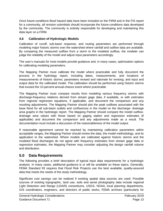Once future-conditions flood hazard data have been included on the FIRM and in the FIS report for a community, all revision submittals should incorporate the future-conditions data developed by the community. The community is entirely responsible for developing and maintaining this data layer on a FIRM.

#### **4.6 Calibration of Hydrologic Models**

Calibration of runoff, sub-basin response, and routing parameters are performed through modeling major historic storms over the watershed where rainfall and outflow data are available. By comparing the measured outflow from a storm to the modeled outflow, the modeler can judge the reliability of the model and adjust input parameters accordingly.

The user's manuals for most models provide guidance and, in many cases, optimization options for calibrating modeling parameters.

The Mapping Partner must calibrate the model where practicable and fully document the process in the hydrology report, including dates, measurements, and locations of measurements of historic storms; parameters revised and rationale for revising; and input and output data for the calibrated model. This calibration should be performed using historic storms that exceed the 10-percent-annual-chance event where practicable.

The Mapping Partner must compare results from modeling various frequency storms with discharge-frequency relations derived from stream gage data, if available, or with estimates from regional regression equations, if applicable, and document the comparison and any resulting adjustments. The Mapping Partner should plot the peak outflows associated with the base flood for all sub-basin outlets and confluences in the model on the discharge- drainage area graphs in the hydrologic report. The Mapping Partner should compare the model outflowdrainage area values with those based on gaging station and regression estimates (if applicable) and document the comparison and any adjustments made as a result. The documentation must include a discussion of the reasonableness of the model output.

If reasonable agreement cannot be reached by maintaining calibration parameters within acceptable ranges, the Mapping Partner should review the data, the model methodology, and its application to the watershed. Where models are calibrated against historic storms and the modeled flood discharges do not agree with frequency estimates from stream gage data or regression estimates, the Mapping Partner may consider adjusting the design rainfall volume and distribution.

## **5.0 Data Requirements**

The following provides a brief description of typical input data requirements for a hydrologic analysis. In many cases, additional guidance is or will be available on these topics. Generally, FEMA Standard 93 requires that Flood Risk Projects use the best available, quality-assured data that meets the needs of the study methodology.

Significant cost savings can be realized if existing spatial data sources are used. Possible sources of existing topographic, land use, soils and aerial photography data include regional Light Detection and Range (LiDAR) consortiums, USGS, NOAA, local planning departments, GIS coordinators, engineers, and directors of public works, FEMA archives (particularly for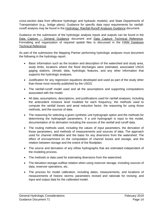cross-section data from effective hydrologic and hydraulic models); and State Departments of Transportation (e.g., bridge plans). Guidance for specific data input requirements for rainfallrunoff analysis may be found in the Hydrology: Rainfall-Runoff Analyses Guidance document.

Guidance on the submission of the hydrologic analysis inputs and outputs can be found in the Data Capture – General Guidance document and Data Capture Technical Reference. Formatting and organization of required spatial files is discussed in the FIRM Database Technical Reference.

As part of the submission the Mapping Partner performing hydrologic analyses must document the following in the hydrology report:

- Basic information such as the location and description of the watershed and study area, study limits, locations where the flood discharges were estimated, associated USGS gaging stations, climatic data, hydrologic features, and any other information that supports the hydrologic analyses.
- Justification for any regression equations developed and used as part of the study other than those most recently published by the USGS.
- The rainfall-runoff model used and all the assumptions and supporting computations associated with the model.
- All data, assumptions, descriptions, and justifications used for rainfall analyses, including the antecedent moisture level modeled for each frequency, the methods used to compute the rainfall losses and areal reduction factor, the reasoning for using those methods, and the sources of data.
- The reasoning for selecting a given synthetic unit hydrograph option and the methods for determining the hydrograph parameters. If a unit hydrograph is input to the model, documentation of its derivation including the sources of the rainfall and runoff data.
- The routing methods used, including the values of input parameters, the derivation of those parameters, and methods of measurements and sources of data. The approach used for channel infiltration and the basis for any diversions from the watershed. The effect of encroachment on the computation of channel losses and storage, and the relation between storage and the extent of the floodplain.
- The source and derivation of any inflow hydrographs that are estimated independent of the modeling process.
- The methods or data used for estimating diversions from the watershed.
- The elevation-storage-outflow relation when using reservoir storage, including sources of data, reservoir operations, etc.
- The process for model calibration, including dates, measurements, and locations of measurements of historic storms; parameters revised and rationale for revising; and input and output data for the calibrated model.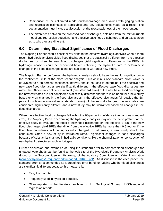- Comparison of the calibrated model outflow-drainage area values with gaging station and regression estimates (if applicable) and any adjustments made as a result. The documentation must include a discussion of the reasonableness of the model output.
- The differences between the proposed flood discharges, obtained from the rainfall-runoff model and regression equations, and effective base flood discharges and an explanation as to why they are different.

## **6.0 Determining Statistical Significance of Flood Discharges**

The Mapping Partner should consider revisions to the effective hydrologic analysis when a more recent hydrologic analysis yields flood discharges that are statistically different from the effective discharges, or when the new flood discharges yield significant differences in the BFEs. A hydrologic analysis could be performed before collecting the hydraulic data to determine if changes in the flood discharges alone are sufficient to warrant a new study.

The Mapping Partner performing the hydrologic analysis should base the test for significance on the confidence limits of the more recent analysis. Plus or minus one standard error, which is equivalent to a 68-percent confidence interval, should be used to determine if the effective and new base flood discharges are significantly different. If the effective base flood discharges are within the 68-percent confidence interval (one standard error) of the new base flood discharges, the new estimates are not considered statistically different and there is no need for a new study based only on changes in the flood discharges. If the effective discharges fall outside the 68 percent confidence interval (one standard error) of the new discharges, the estimates are considered significantly different and a new study may be warranted based on changes in the flood discharges.

When the effective flood discharges fall within the 68-percent confidence interval (one standard error), the Mapping Partner performing the hydrologic analysis may use the flood profiles for the effective study to evaluate the effect of new flood discharges on the effective BFEs. If the new flood discharges yield BFEs that differ from the effective BFEs by more than 0.5 foot or if the floodplain boundaries will be significantly changed in flat areas, a new study should be conducted. Often a new study is warranted without significant changes in flood discharges because of substantial changes in hydraulic conditions, like the channelization or construction of new hydraulic structures such as bridges.

Further discussion and examples of using the standard error to compare flood discharges for ungaged watersheds can be found at the web site of the Hydrologic Frequency Analysis Work Group of the Subcommittee on Hydrology of the Advisory Committee on Water Information [\(acwi.gov/hydrology/Frequency/pdf/ungaged\\_101602.pdf\)](https://acwi.gov/hydrology/Frequency/pdf/ungaged_101602.pdf). As discussed in the cited paper, the standard error is recommended as a predefined error band for judging whether flood discharges are significantly different because this measure is:

- Easy to compute.
- Frequently used in hydrologic studies.
- Often reported in the literature, such as in U.S. Geological Survey (USGS) regional regression reports.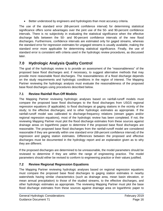• Better understood by engineers and hydrologists than most accuracy criteria.

The use of the standard error (68-percent confidence interval) for determining statistical significance offers some advantages over the joint use of the 50- and 90-percent confidence intervals. There is no subjectivity in evaluating the statistical significance when the effective discharge falls between the 50- and 90-percent confidence intervals of the new flood discharges. Furthermore, confidence intervals are estimated only for gaged streams, whereas the standard error for regression estimates for ungaged streams is usually available, making the standard error more applicable for determining statistical significance. Finally, the use of standard error is consistent with criteria used in the hydrologic review procedures, as discussed later.

## **7.0 Hydrologic Analysis Quality Control**

The goal of the hydrologic review is to provide an assessment of the "reasonableness" of the proposed base flood discharges and, if necessary, to suggest alternative methods that may provide more reasonable flood discharges. The reasonableness of a flood discharge depends on the study requirements and hydrologic conditions in the region of interest. The Mapping Partner reviewing the hydrologic analysis must evaluate the reasonableness of the proposed base flood discharges using procedures described below.

## **7.1 Review Rainfall Run-Off Models**

The Mapping Partner reviewing hydrologic analyses based on rainfall-runoff models must compare the proposed base flood discharges to the flood discharges from USGS regional regression equations (if applicable); to flood discharges at gaging stations in the vicinity of the study; to the effective discharges; and to other hydrologic estimates as appropriate. If the rainfall-runoff model was calibrated to discharge-frequency relations (stream gages and/or regional regression equations), most of the hydrologic review has been completed. If not, the reviewing Mapping Partner must plot the flood discharge estimates from these sources against drainage areas on logarithmic paper to determine if the proposed base flood discharges are reasonable. The proposed base flood discharges from the rainfall-runoff model are considered reasonable if they are generally within one standard error (68-percent confidence interval) of the regression and gaging station estimates. Differences between the proposed and effective discharges must be documented in the hydrology report and an explanation given as to why they are different.

If the proposed discharges are determined to be unreasonable, the model parameters should be reviewed to determine if they are within the range of engineering practice. The model parameters should either be revised to conform to engineering practice or their values justified.

## **7.2 Review Regional Regression Equations**

The Mapping Partner reviewing hydrologic analyses based on regional regression equations must compare the proposed base flood discharges to gaging station estimates in nearby watersheds having similar characteristics (such as drainage area, mean basin elevation, or mean annual precipitation) to those of the studied streams, to the effective discharges, and other hydrologic estimates as appropriate. The reviewing Mapping Partner must plot the base flood discharge estimates from these sources against drainage area on logarithmic paper to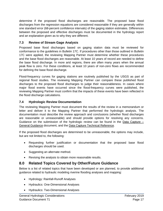determine if the proposed flood discharges are reasonable. The proposed base flood discharges from the regression equations are considered reasonable if they are generally within one standard error (68-percent confidence intervals) of the gaging station estimates. Differences between the proposed and effective discharges must be documented in the hydrology report and an explanation given as to why they are different.

#### **7.3 Review of Stream Gage Analysis**

Proposed base flood discharges based on gaging station data must be reviewed for conformance to the guidelines in Bulletin 17C. If procedures other than those outlined in Bulletin 17C were applied, the reviewing Mapping Partner must determine whether these procedures and the base flood discharges are reasonable. At least 10 years of record are needed to define the base flood discharge. In more arid regions, there are often many years when the annual peak flow is zero. For these conditions, at least 10 years of non-zero flows are recommended for defining the base flood discharge.

Flood-frequency curves for gaging stations are routinely published by the USGS as part of regional flood studies. The reviewing Mapping Partner can compare these published flood discharges to the proposed flood discharges to judge their reasonableness. In cases where major flood events have occurred since the flood-frequency curves were published, the reviewing Mapping Partner must confirm that the impacts of these events have been reflected in the flood discharge calculations.

#### **7.4 Hydrologic Review Documentation**

The reviewing Mapping Partner must document the results of the review in a memorandum or letter and deliver it to the Mapping Partner that performed the hydrologic analysis. The documentation must describe the review approach and conclusions (whether flood discharges are reasonable or unreasonable) and should provide options for resolving any concerns. Guidance on the submission of the hydrologic review can be found in the Data Capture – General Guidance document, and the Data Capture Technical Reference.

If the proposed flood discharges are determined to be unreasonable, the options may include, but are not limited to, the following:

- Requesting further justification or documentation that the proposed base flood discharges should be used.
- Suggesting an alternate method.
- Revising the analysis to obtain more reasonable results.

## **8.0 Related Topics Covered by Other/Future Guidance**

Below is a list of related topics that have been developed or are planned, to provide additional guidance related to hydraulic modeling riverine flooding analyses and mapping:

- Hydrology: Rainfall-Runoff Analyses
- Hydraulics: One-Dimensional Analyses
- Hydraulics: Two-Dimensional Analyses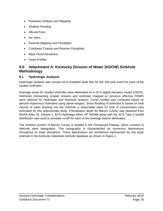- Floodway Analysis and Mapping
- Shallow Flooding
- Alluvial Fans
- Ice Jams
- Riverine Mapping and Floodplain
- [Combined Coastal and Riverine Floodplain](http://www.fema.gov/media-library-data/1436989628107-db27783b8a61ebb105ee32064ef16d39/Coastal_Riverine_Guidance_May_2015.pdf)
- Base Flood Elevations
- Flood Profiles

## **9.0 Attachment A: Kentucky Division of Water (KDOW) Sinkhole Methodology**

#### **9.1 Hydrologic Analysis**

Hydrologic analysis was carried out to establish peak flow for the 100-year event for each of the studied sinkholes.

Drainage areas for studied sinkholes were delineated on a 10 m digital elevation model (USGS). Sinkholes intersecting scoped streams and sinkholes mapped on previous effective FIRMS were selected for Hydrologic and Hydraulic analysis. Curve number was computed based on percent impervious estimated using aerial imagery. Since flooding of sinkholes is based on total volume of water draining into the sinkhole, a reasonable value for time of concentration was estimated for this approximate study. Precipitation depth for Barren County was obtained from NOAA Atlas 14, Volume 2. SCS Hydrology within XP SWMM along with the SCS Type 2 rainfall distribution was used to simulate runoff for each of the drainage basins delineated.

The northern portion of Barren County is located in the Pennyroyal Plateau, which consists of sinkhole plain topography. This topography is characterized by numerous depressions throughout its lower elevations. These depressions are sometimes represented by one large sinkhole in the Kentucky statewide sinkhole database as shown in [Figure 1.](#page-23-0)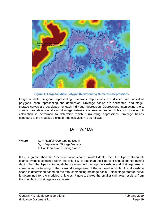

**Figure 1: Large Sinkhole Polygon Representing Numerous Depressions**

<span id="page-23-0"></span>Large sinkhole polygons representing numerous depressions are divided into individual polygons, each representing one depression. Drainage basins are delineated, and stagestorage curves are developed for each individual depression. Depressions intersecting the 1 square mile statewide stream drainage network are selected as sinkholes for modeling. A calculation is performed to determine which surrounding depressions' drainage basins contribute to the modeled sinkhole. The calculation is as follows:

$$
D_o = V_s \, / \, DA
$$

Where:  $D_0 =$  Rainfall Overtopping Depth  $V_s$  = Depression Storage Volume DA = Depression Drainage Area

If  $D<sub>o</sub>$  is greater than the 1-percent-annual-chance rainfall depth, then the 1-percent-annualchance event is contained within the sink. If  $D<sub>o</sub>$  is less than the 1-percent-annual-chance rainfall depth, then the 1-percent-annual-chance event will overtop the sinkhole and drainage area is consider as contributing to the overall drainage area of the modeled sinkhole. A final sinkhole shape is determined based on the total contributing drainage basin. A final stage-storage curve is determined for the modeled sinkholes. [Figure 2](#page-24-0) shows the smaller sinkholes resulting from the contributing drainage area analysis.